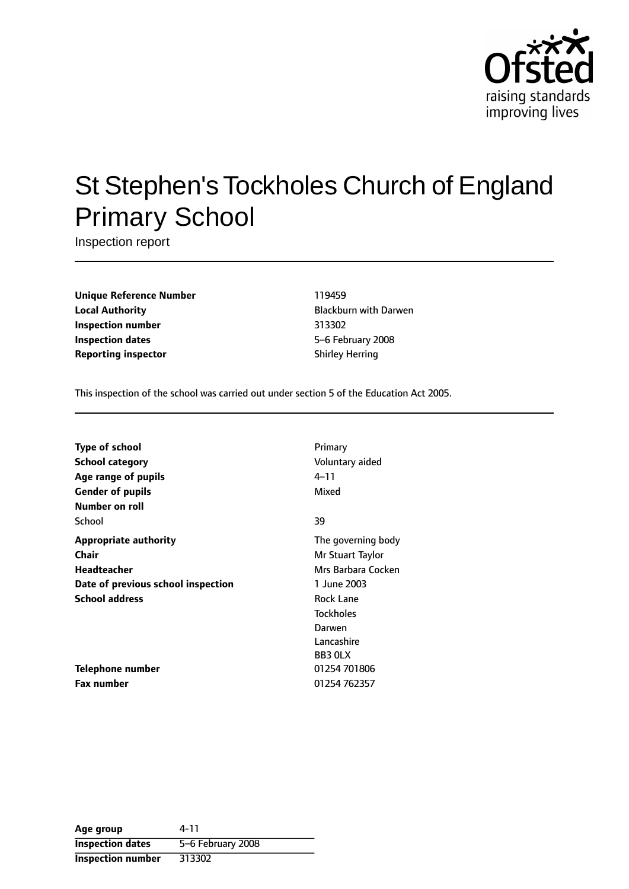

# St Stephen's Tockholes Church of England Primary School

Inspection report

**Unique Reference Number** 119459 **Local Authority Construction Exercise State Blackburn with Darwen Inspection number** 313302 **Inspection dates** 5-6 February 2008 **Reporting inspector** Shirley Herring

This inspection of the school was carried out under section 5 of the Education Act 2005.

| <b>Type of school</b>              | Primary            |
|------------------------------------|--------------------|
| School category                    | Voluntary aided    |
| Age range of pupils                | 4–11               |
| <b>Gender of pupils</b>            | Mixed              |
| Number on roll                     |                    |
| School                             | 39                 |
| <b>Appropriate authority</b>       | The governing body |
| Chair                              | Mr Stuart Taylor   |
| Headteacher                        | Mrs Barbara Cocken |
| Date of previous school inspection | 1 June 2003        |
| <b>School address</b>              | <b>Rock Lane</b>   |
|                                    | <b>Tockholes</b>   |
|                                    | Darwen             |
|                                    | Lancashire         |
|                                    | BB3 OLX            |
| Telephone number                   | 01254 701806       |
| <b>Fax number</b>                  | 01254 762357       |

| Age group                | 4-11              |
|--------------------------|-------------------|
| <b>Inspection dates</b>  | 5-6 February 2008 |
| <b>Inspection number</b> | 313302            |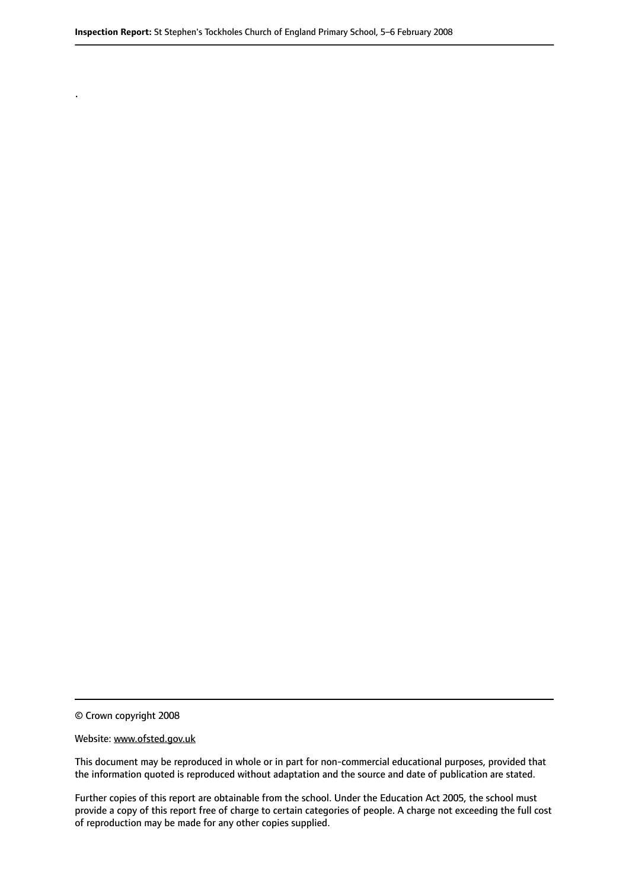© Crown copyright 2008

.

#### Website: www.ofsted.gov.uk

This document may be reproduced in whole or in part for non-commercial educational purposes, provided that the information quoted is reproduced without adaptation and the source and date of publication are stated.

Further copies of this report are obtainable from the school. Under the Education Act 2005, the school must provide a copy of this report free of charge to certain categories of people. A charge not exceeding the full cost of reproduction may be made for any other copies supplied.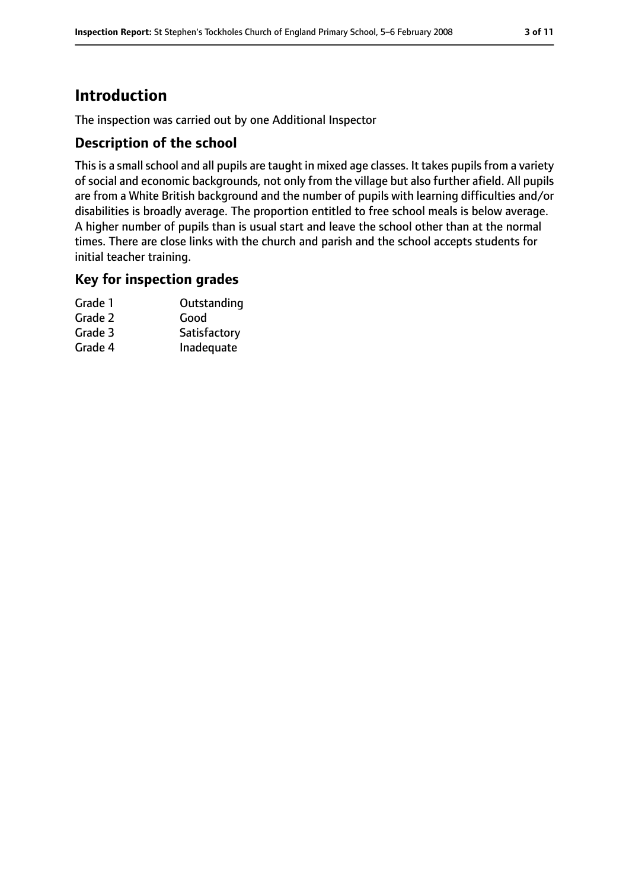# **Introduction**

The inspection was carried out by one Additional Inspector

#### **Description of the school**

This is a small school and all pupils are taught in mixed age classes. It takes pupils from a variety of social and economic backgrounds, not only from the village but also further afield. All pupils are from a White British background and the number of pupils with learning difficulties and/or disabilities is broadly average. The proportion entitled to free school meals is below average. A higher number of pupils than is usual start and leave the school other than at the normal times. There are close links with the church and parish and the school accepts students for initial teacher training.

#### **Key for inspection grades**

| Grade 1 | Outstanding  |
|---------|--------------|
| Grade 2 | Good         |
| Grade 3 | Satisfactory |
| Grade 4 | Inadequate   |
|         |              |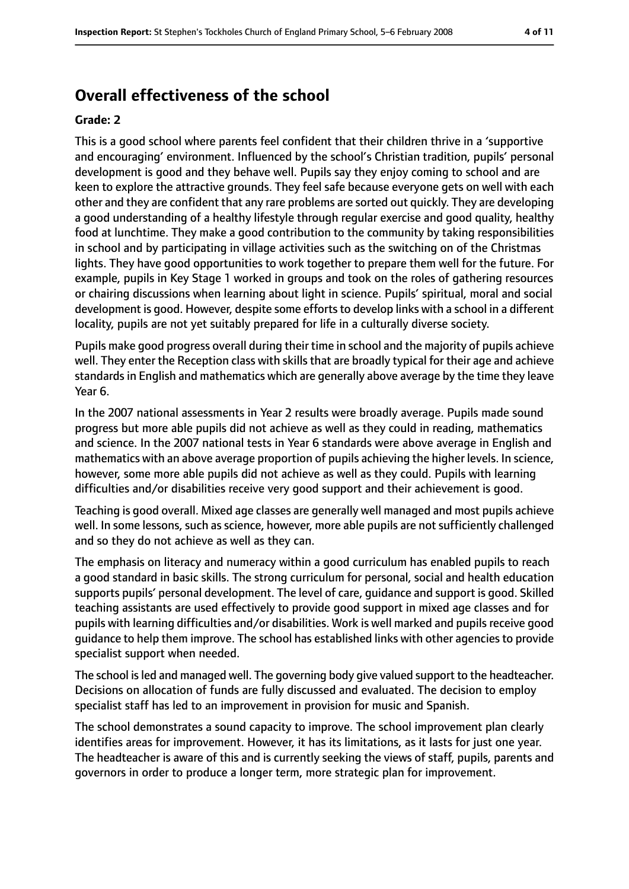# **Overall effectiveness of the school**

#### **Grade: 2**

This is a good school where parents feel confident that their children thrive in a 'supportive and encouraging' environment. Influenced by the school's Christian tradition, pupils' personal development is good and they behave well. Pupils say they enjoy coming to school and are keen to explore the attractive grounds. They feel safe because everyone gets on well with each other and they are confident that any rare problems are sorted out quickly. They are developing a good understanding of a healthy lifestyle through regular exercise and good quality, healthy food at lunchtime. They make a good contribution to the community by taking responsibilities in school and by participating in village activities such as the switching on of the Christmas lights. They have good opportunities to work together to prepare them well for the future. For example, pupils in Key Stage 1 worked in groups and took on the roles of gathering resources or chairing discussions when learning about light in science. Pupils' spiritual, moral and social development is good. However, despite some efforts to develop links with a school in a different locality, pupils are not yet suitably prepared for life in a culturally diverse society.

Pupils make good progress overall during their time in school and the majority of pupils achieve well. They enter the Reception class with skills that are broadly typical for their age and achieve standards in English and mathematics which are generally above average by the time they leave Year 6.

In the 2007 national assessments in Year 2 results were broadly average. Pupils made sound progress but more able pupils did not achieve as well as they could in reading, mathematics and science. In the 2007 national tests in Year 6 standards were above average in English and mathematics with an above average proportion of pupils achieving the higher levels. In science, however, some more able pupils did not achieve as well as they could. Pupils with learning difficulties and/or disabilities receive very good support and their achievement is good.

Teaching is good overall. Mixed age classes are generally well managed and most pupils achieve well. In some lessons, such as science, however, more able pupils are not sufficiently challenged and so they do not achieve as well as they can.

The emphasis on literacy and numeracy within a good curriculum has enabled pupils to reach a good standard in basic skills. The strong curriculum for personal, social and health education supports pupils' personal development. The level of care, guidance and support is good. Skilled teaching assistants are used effectively to provide good support in mixed age classes and for pupils with learning difficulties and/or disabilities. Work is well marked and pupils receive good guidance to help them improve. The school has established links with other agencies to provide specialist support when needed.

The school is led and managed well. The governing body give valued support to the headteacher. Decisions on allocation of funds are fully discussed and evaluated. The decision to employ specialist staff has led to an improvement in provision for music and Spanish.

The school demonstrates a sound capacity to improve. The school improvement plan clearly identifies areas for improvement. However, it has its limitations, as it lasts for just one year. The headteacher is aware of this and is currently seeking the views of staff, pupils, parents and governors in order to produce a longer term, more strategic plan for improvement.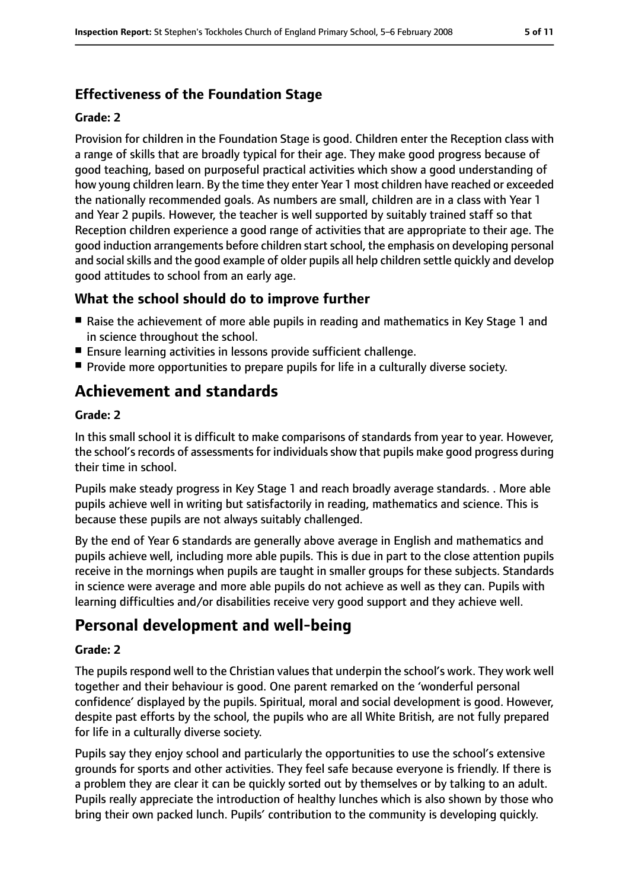## **Effectiveness of the Foundation Stage**

#### **Grade: 2**

Provision for children in the Foundation Stage is good. Children enter the Reception class with a range of skills that are broadly typical for their age. They make good progress because of good teaching, based on purposeful practical activities which show a good understanding of how young children learn. By the time they enter Year 1 most children have reached or exceeded the nationally recommended goals. As numbers are small, children are in a class with Year 1 and Year 2 pupils. However, the teacher is well supported by suitably trained staff so that Reception children experience a good range of activities that are appropriate to their age. The good induction arrangements before children startschool, the emphasis on developing personal and social skills and the good example of older pupils all help children settle quickly and develop good attitudes to school from an early age.

### **What the school should do to improve further**

- Raise the achievement of more able pupils in reading and mathematics in Key Stage 1 and in science throughout the school.
- Ensure learning activities in lessons provide sufficient challenge.
- Provide more opportunities to prepare pupils for life in a culturally diverse society.

# **Achievement and standards**

#### **Grade: 2**

In this small school it is difficult to make comparisons of standards from year to year. However, the school's records of assessments for individuals show that pupils make good progress during their time in school.

Pupils make steady progress in Key Stage 1 and reach broadly average standards. . More able pupils achieve well in writing but satisfactorily in reading, mathematics and science. This is because these pupils are not always suitably challenged.

By the end of Year 6 standards are generally above average in English and mathematics and pupils achieve well, including more able pupils. This is due in part to the close attention pupils receive in the mornings when pupils are taught in smaller groups for these subjects. Standards in science were average and more able pupils do not achieve as well as they can. Pupils with learning difficulties and/or disabilities receive very good support and they achieve well.

# **Personal development and well-being**

#### **Grade: 2**

The pupils respond well to the Christian values that underpin the school's work. They work well together and their behaviour is good. One parent remarked on the 'wonderful personal confidence' displayed by the pupils. Spiritual, moral and social development is good. However, despite past efforts by the school, the pupils who are all White British, are not fully prepared for life in a culturally diverse society.

Pupils say they enjoy school and particularly the opportunities to use the school's extensive grounds for sports and other activities. They feel safe because everyone is friendly. If there is a problem they are clear it can be quickly sorted out by themselves or by talking to an adult. Pupils really appreciate the introduction of healthy lunches which is also shown by those who bring their own packed lunch. Pupils' contribution to the community is developing quickly.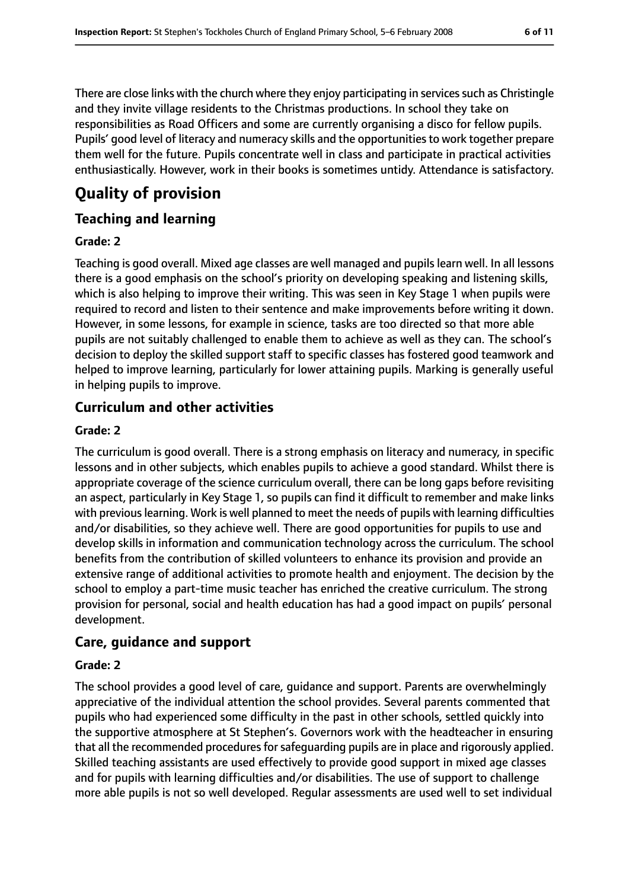There are close links with the church where they enjoy participating in services such as Christingle and they invite village residents to the Christmas productions. In school they take on responsibilities as Road Officers and some are currently organising a disco for fellow pupils. Pupils' good level of literacy and numeracy skills and the opportunities to work together prepare them well for the future. Pupils concentrate well in class and participate in practical activities enthusiastically. However, work in their books is sometimes untidy. Attendance is satisfactory.

# **Quality of provision**

#### **Teaching and learning**

#### **Grade: 2**

Teaching is good overall. Mixed age classes are well managed and pupils learn well. In all lessons there is a good emphasis on the school's priority on developing speaking and listening skills, which is also helping to improve their writing. This was seen in Key Stage 1 when pupils were required to record and listen to their sentence and make improvements before writing it down. However, in some lessons, for example in science, tasks are too directed so that more able pupils are not suitably challenged to enable them to achieve as well as they can. The school's decision to deploy the skilled support staff to specific classes has fostered good teamwork and helped to improve learning, particularly for lower attaining pupils. Marking is generally useful in helping pupils to improve.

### **Curriculum and other activities**

#### **Grade: 2**

The curriculum is good overall. There is a strong emphasis on literacy and numeracy, in specific lessons and in other subjects, which enables pupils to achieve a good standard. Whilst there is appropriate coverage of the science curriculum overall, there can be long gaps before revisiting an aspect, particularly in Key Stage 1, so pupils can find it difficult to remember and make links with previous learning. Work is well planned to meet the needs of pupils with learning difficulties and/or disabilities, so they achieve well. There are good opportunities for pupils to use and develop skills in information and communication technology across the curriculum. The school benefits from the contribution of skilled volunteers to enhance its provision and provide an extensive range of additional activities to promote health and enjoyment. The decision by the school to employ a part-time music teacher has enriched the creative curriculum. The strong provision for personal, social and health education has had a good impact on pupils' personal development.

### **Care, guidance and support**

#### **Grade: 2**

The school provides a good level of care, guidance and support. Parents are overwhelmingly appreciative of the individual attention the school provides. Several parents commented that pupils who had experienced some difficulty in the past in other schools, settled quickly into the supportive atmosphere at St Stephen's. Governors work with the headteacher in ensuring that all the recommended procedures for safeguarding pupils are in place and rigorously applied. Skilled teaching assistants are used effectively to provide good support in mixed age classes and for pupils with learning difficulties and/or disabilities. The use of support to challenge more able pupils is not so well developed. Regular assessments are used well to set individual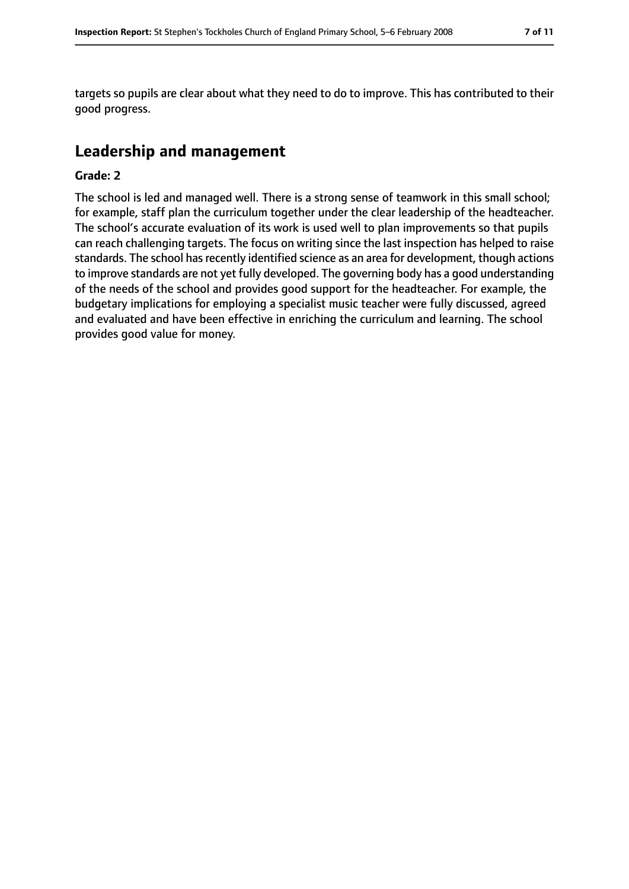targets so pupils are clear about what they need to do to improve. This has contributed to their good progress.

# **Leadership and management**

#### **Grade: 2**

The school is led and managed well. There is a strong sense of teamwork in this small school; for example, staff plan the curriculum together under the clear leadership of the headteacher. The school's accurate evaluation of its work is used well to plan improvements so that pupils can reach challenging targets. The focus on writing since the last inspection has helped to raise standards. The school has recently identified science as an area for development, though actions to improve standards are not yet fully developed. The governing body has a good understanding of the needs of the school and provides good support for the headteacher. For example, the budgetary implications for employing a specialist music teacher were fully discussed, agreed and evaluated and have been effective in enriching the curriculum and learning. The school provides good value for money.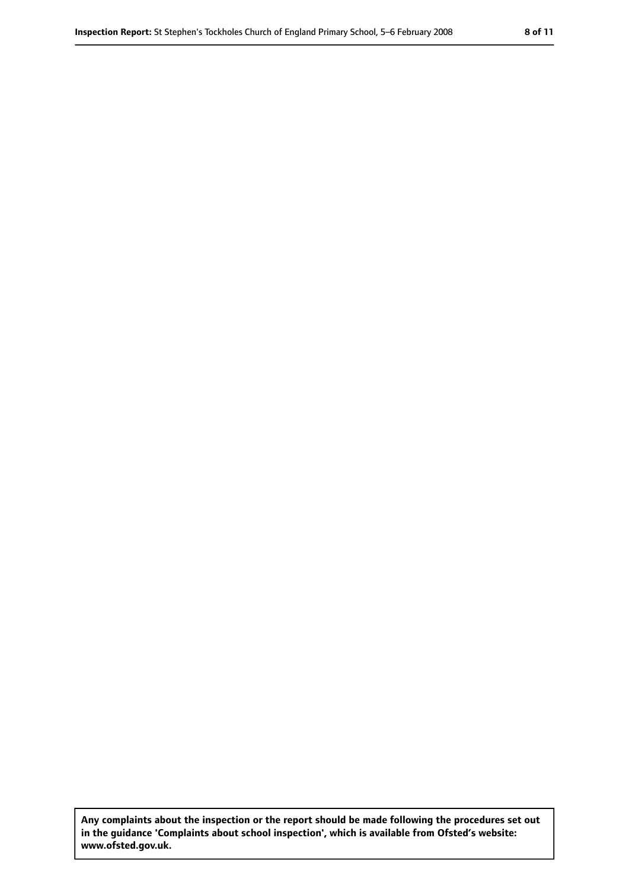**Any complaints about the inspection or the report should be made following the procedures set out in the guidance 'Complaints about school inspection', which is available from Ofsted's website: www.ofsted.gov.uk.**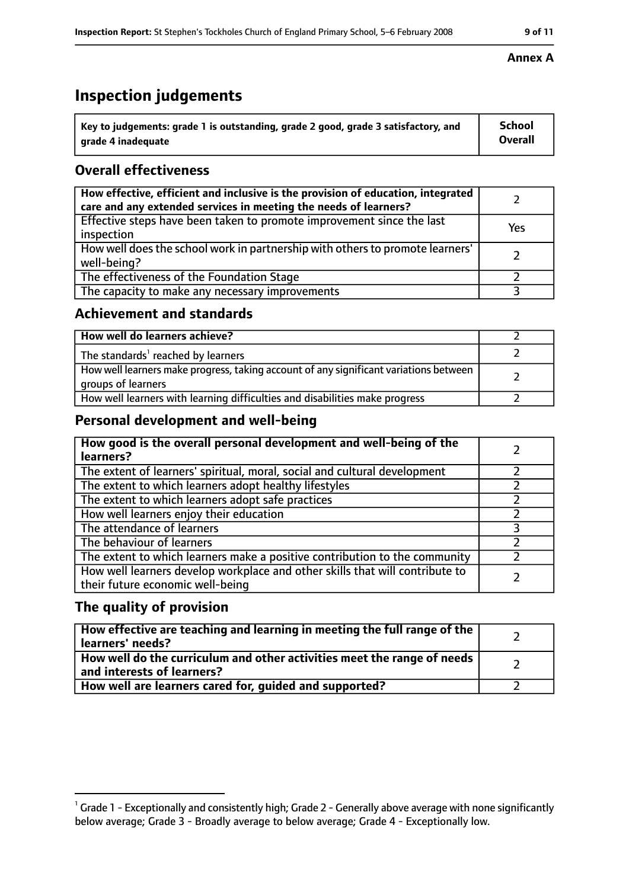# **Inspection judgements**

| $\degree$ Key to judgements: grade 1 is outstanding, grade 2 good, grade 3 satisfactory, and | School         |
|----------------------------------------------------------------------------------------------|----------------|
| arade 4 inadequate                                                                           | <b>Overall</b> |

#### **Overall effectiveness**

| How effective, efficient and inclusive is the provision of education, integrated<br>care and any extended services in meeting the needs of learners? |     |
|------------------------------------------------------------------------------------------------------------------------------------------------------|-----|
| Effective steps have been taken to promote improvement since the last<br>inspection                                                                  | Yes |
| How well does the school work in partnership with others to promote learners'<br>well-being?                                                         |     |
| The effectiveness of the Foundation Stage                                                                                                            |     |
| The capacity to make any necessary improvements                                                                                                      |     |

#### **Achievement and standards**

| How well do learners achieve?                                                                               |  |
|-------------------------------------------------------------------------------------------------------------|--|
| The standards <sup>1</sup> reached by learners                                                              |  |
| How well learners make progress, taking account of any significant variations between<br>groups of learners |  |
| How well learners with learning difficulties and disabilities make progress                                 |  |

#### **Personal development and well-being**

| How good is the overall personal development and well-being of the<br>learners?                                  |  |
|------------------------------------------------------------------------------------------------------------------|--|
| The extent of learners' spiritual, moral, social and cultural development                                        |  |
| The extent to which learners adopt healthy lifestyles                                                            |  |
| The extent to which learners adopt safe practices                                                                |  |
| How well learners enjoy their education                                                                          |  |
| The attendance of learners                                                                                       |  |
| The behaviour of learners                                                                                        |  |
| The extent to which learners make a positive contribution to the community                                       |  |
| How well learners develop workplace and other skills that will contribute to<br>their future economic well-being |  |

#### **The quality of provision**

| How effective are teaching and learning in meeting the full range of the<br>learners' needs?          |  |
|-------------------------------------------------------------------------------------------------------|--|
| How well do the curriculum and other activities meet the range of needs<br>and interests of learners? |  |
| How well are learners cared for, guided and supported?                                                |  |

#### **Annex A**

 $^1$  Grade 1 - Exceptionally and consistently high; Grade 2 - Generally above average with none significantly below average; Grade 3 - Broadly average to below average; Grade 4 - Exceptionally low.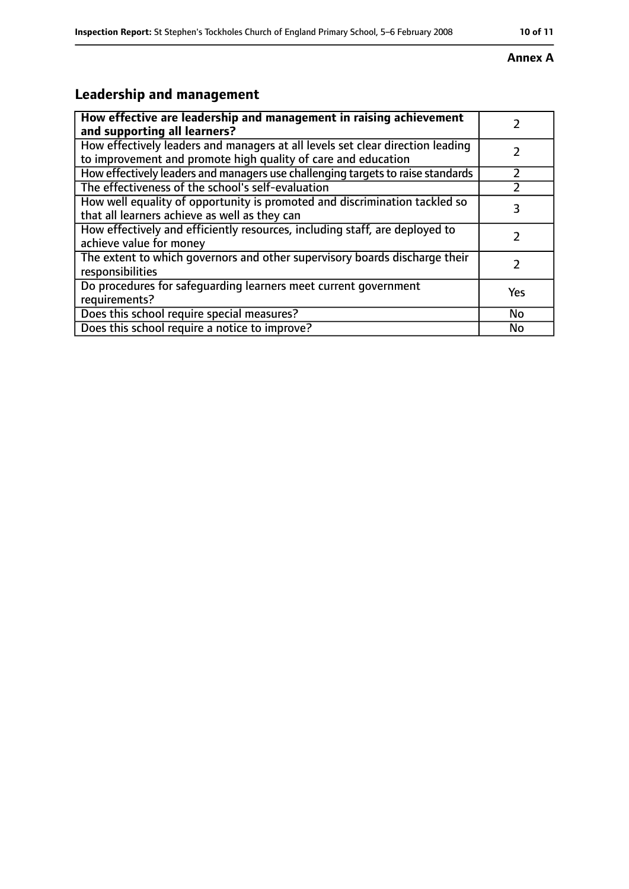#### **Annex A**

# **Leadership and management**

| How effective are leadership and management in raising achievement<br>and supporting all learners?                                              |     |
|-------------------------------------------------------------------------------------------------------------------------------------------------|-----|
| How effectively leaders and managers at all levels set clear direction leading<br>to improvement and promote high quality of care and education |     |
| How effectively leaders and managers use challenging targets to raise standards                                                                 |     |
| The effectiveness of the school's self-evaluation                                                                                               |     |
| How well equality of opportunity is promoted and discrimination tackled so<br>that all learners achieve as well as they can                     |     |
| How effectively and efficiently resources, including staff, are deployed to<br>achieve value for money                                          |     |
| The extent to which governors and other supervisory boards discharge their<br>responsibilities                                                  |     |
| Do procedures for safeguarding learners meet current government<br>requirements?                                                                | Yes |
| Does this school require special measures?                                                                                                      | No  |
| Does this school require a notice to improve?                                                                                                   | No  |